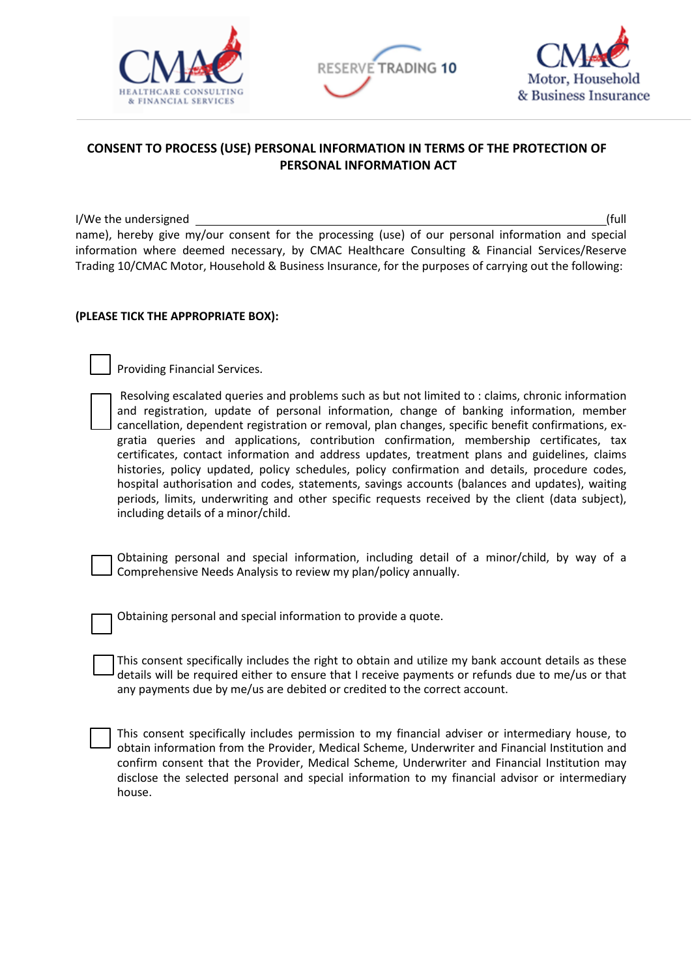





## **CONSENT TO PROCESS (USE) PERSONAL INFORMATION IN TERMS OF THE PROTECTION OF PERSONAL INFORMATION ACT**

I/We the undersigned (full name), hereby give my/our consent for the processing (use) of our personal information and special information where deemed necessary, by CMAC Healthcare Consulting & Financial Services/Reserve Trading 10/CMAC Motor, Household & Business Insurance, for the purposes of carrying out the following:

## **(PLEASE TICK THE APPROPRIATE BOX):**

Providing Financial Services.

| Resolving escalated queries and problems such as but not limited to : claims, chronic information  |
|----------------------------------------------------------------------------------------------------|
| and registration, update of personal information, change of banking information, member            |
| cancellation, dependent registration or removal, plan changes, specific benefit confirmations, ex- |
| gratia queries and applications, contribution confirmation, membership certificates, tax           |
| certificates, contact information and address updates, treatment plans and guidelines, claims      |
| histories, policy updated, policy schedules, policy confirmation and details, procedure codes,     |
| hospital authorisation and codes, statements, savings accounts (balances and updates), waiting     |
| periods, limits, underwriting and other specific requests received by the client (data subject),   |
| including details of a minor/child.                                                                |

Obtaining personal and special information, including detail of a minor/child, by way of a Comprehensive Needs Analysis to review my plan/policy annually.

Obtaining personal and special information to provide a quote.

This consent specifically includes the right to obtain and utilize my bank account details as these details will be required either to ensure that I receive payments or refunds due to me/us or that any payments due by me/us are debited or credited to the correct account.

This consent specifically includes permission to my financial adviser or intermediary house, to obtain information from the Provider, Medical Scheme, Underwriter and Financial Institution and confirm consent that the Provider, Medical Scheme, Underwriter and Financial Institution may disclose the selected personal and special information to my financial advisor or intermediary house.